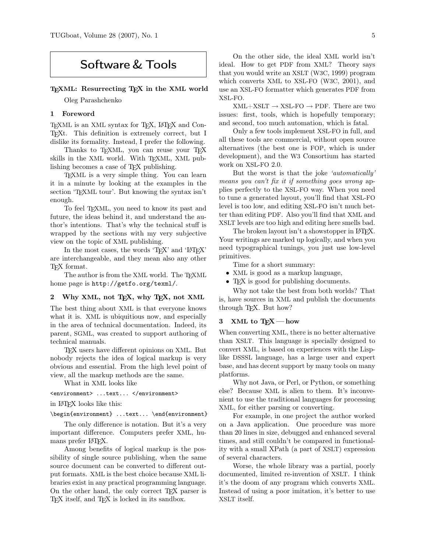# Software & Tools

#### T<sub>EXML</sub>: Resurrecting T<sub>EX</sub> in the XML world

Oleg Parashchenko

## 1 Foreword

TEXML is an XML syntax for TEX, LATEX and Con-TEXt. This definition is extremely correct, but I dislike its formality. Instead, I prefer the following.

Thanks to T<sub>E</sub>XML, you can reuse your T<sub>E</sub>X skills in the XML world. With TEXML, XML publishing becomes a case of TEX publishing.

TEXML is a very simple thing. You can learn it in a minute by looking at the examples in the section 'TEXML tour'. But knowing the syntax isn't enough.

To feel TEXML, you need to know its past and future, the ideas behind it, and understand the author's intentions. That's why the technical stuff is wrapped by the sections with my very subjective view on the topic of XML publishing.

In the most cases, the words 'T<sub>EX</sub>' and 'LATEX' are interchangeable, and they mean also any other TEX format.

The author is from the XML world. The TEXML home page is http://getfo.org/texml/.

## 2 Why XML, not TEX, why TEX, not XML

The best thing about XML is that everyone knows what it is. XML is ubiquitious now, and especially in the area of technical documentation. Indeed, its parent, SGML, was created to support authoring of technical manuals.

TEX users have different opinions on XML. But nobody rejects the idea of logical markup is very obvious and essential. From the high level point of view, all the markup methods are the same.

What in XML looks like

<environment> ...text... </environment>

in LATEX looks like this:

\begin{environment} ...text... \end{environment}

The only difference is notation. But it's a very important difference. Computers prefer XML, humans prefer L<sup>AT</sup>FX.

Among benefits of logical markup is the possibility of single source publishing, when the same source document can be converted to different output formats. XML is the best choice because XML libraries exist in any practical programming language. On the other hand, the only correct TEX parser is T<sub>EX</sub> itself, and T<sub>E</sub>X is locked in its sandbox.

On the other side, the ideal XML world isn't ideal. How to get PDF from XML? Theory says that you would write an XSLT (W3C, 1999) program which converts XML to XSL-FO (W3C, 2001), and use an XSL-FO formatter which generates PDF from XSL-FO.

 $XML+XSLT \rightarrow XSL-FO \rightarrow PDF.$  There are two issues: first, tools, which is hopefully temporary; and second, too much automation, which is fatal.

Only a few tools implement XSL-FO in full, and all these tools are commercial, without open source alternatives (the best one is FOP, which is under development), and the W3 Consortium has started work on XSL-FO 2.0.

But the worst is that the joke 'automatically' means you can't fix it if something goes wrong applies perfectly to the XSL-FO way. When you need to tune a generated layout, you'll find that XSL-FO level is too low, and editing XSL-FO isn't much better than editing PDF. Also you'll find that XML and XSLT levels are too high and editing here smells bad.

The broken layout isn't a showstopper in LAT<sub>EX</sub>. Your writings are marked up logically, and when you need typographical tunings, you just use low-level primitives.

Time for a short summary:

- XML is good as a markup language,
- T<sub>F</sub>X is good for publishing documents.

Why not take the best from both worlds? That is, have sources in XML and publish the documents through TEX. But how?

## 3 XML to  $T_FX$  — how

When converting XML, there is no better alternative than XSLT. This language is specially designed to convert XML, is based on experiences with the Lisplike DSSSL language, has a large user and expert base, and has decent support by many tools on many platforms.

Why not Java, or Perl, or Python, or something else? Because XML is alien to them. It's inconvenient to use the traditional languages for processing XML, for either parsing or converting.

For example, in one project the author worked on a Java application. One procedure was more than 20 lines in size, debugged and enhanced several times, and still couldn't be compared in functionality with a small XPath (a part of XSLT) expression of several characters.

Worse, the whole library was a partial, poorly documented, limited re-invention of XSLT. I think it's the doom of any program which converts XML. Instead of using a poor imitation, it's better to use XSLT itself.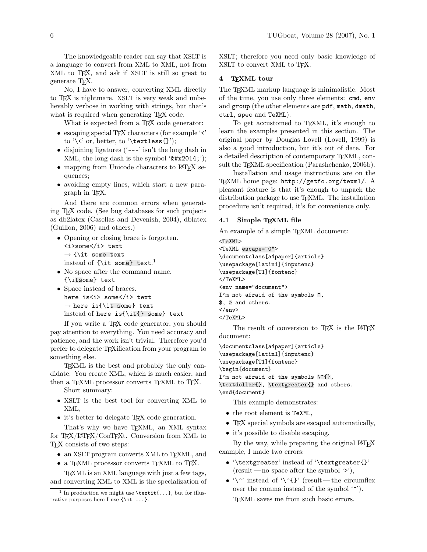The knowledgeable reader can say that XSLT is a language to convert from XML to XML, not from XML to TEX, and ask if XSLT is still so great to generate TEX.

No, I have to answer, converting XML directly to TEX is nightmare. XSLT is very weak and unbelievably verbose in working with strings, but that's what is required when generating TEX code.

What is expected from a T<sub>EX</sub> code generator:

- escaping special T<sub>E</sub>X characters (for example '<' to '\ $\lt'$ ' or, better, to '\textless{}');
- disjoining ligatures ('---' isn't the long dash in XML, the long dash is the symbol  $'$ —');
- mapping from Unicode characters to L<sup>AT</sup>FX sequences;
- avoiding empty lines, which start a new paragraph in TEX.

And there are common errors when generating TEX code. (See bug databases for such projects as db2latex (Casellas and Devenish, 2004), dblatex (Guillon, 2006) and others.)

- Opening or closing brace is forgotten. <i>some</i> text  $\rightarrow$  {\it some text instead of {\it some} text. 1
- No space after the command name. {\itsome} text
- Space instead of braces. here is<i> some</i> text  $\rightarrow$  here is{\it some} text instead of here is{\it{} some} text

If you write a TEX code generator, you should pay attention to everything. You need accuracy and patience, and the work isn't trivial. Therefore you'd prefer to delegate TEXification from your program to something else.

TEXML is the best and probably the only candidate. You create XML, which is much easier, and then a T<sub>E</sub>XML processor converts T<sub>E</sub>XML to T<sub>E</sub>X.

Short summary:

- XSLT is the best tool for converting XML to XML,
- it's better to delegate T<sub>E</sub>X code generation.

That's why we have T<sub>EXML</sub>, an XML syntax for TEX/LATEX/ConTEXt. Conversion from XML to TEX consists of two steps:

- an XSLT program converts XML to T<sub>E</sub>XML, and
- a TEXML processor converts TEXML to TEX.

TEXML is an XML language with just a few tags, and converting XML to XML is the specialization of XSLT; therefore you need only basic knowledge of XSLT to convert XML to TFX.

#### 4 TEXML tour

The T<sub>E</sub>XML markup language is minimalistic. Most of the time, you use only three elements: cmd, env and group (the other elements are pdf, math, dmath, ctrl, spec and TeXML).

To get accustomed to T<sub>EXML</sub>, it's enough to learn the examples presented in this section. The original paper by Douglas Lovell (Lovell, 1999) is also a good introduction, but it's out of date. For a detailed description of contemporary T<sub>E</sub>XML, consult the T<sub>E</sub>XML specification (Parashchenko, 2006b).

Installation and usage instructions are on the TEXML home page: http://getfo.org/texml/. A pleasant feature is that it's enough to unpack the distribution package to use TEXML. The installation procedure isn't required, it's for convenience only.

#### 4.1 Simple TEXML file

An example of a simple T<sub>EXML</sub> document:

<TeXML> <TeXML escape="0"> \documentclass[a4paper]{article} \usepackage[latin1]{inputenc} \usepackage[T1]{fontenc} </TeXML> <env name="document"> I'm not afraid of the symbols  $\hat{ }$ ,

\$, > and others.

```
</env>
</TeXML>
```
The result of conversion to T<sub>E</sub>X is the L<sup>AT</sup>E<sup>X</sup> document:

```
\documentclass[a4paper]{article}
\usepackage[latin1]{inputenc}
\usepackage[T1]{fontenc}
```
\begin{document}

I'm not afraid of the symbols  $\{\hat{\ }$ , \textdollar{}, \textgreater{} and others. \end{document}

This example demonstrates:

- the root element is TeXML,
- TFX special symbols are escaped automatically,
- it's possible to disable escaping.

By the way, while preparing the original LAT<sub>EX</sub> example, I made two errors:

- '\textgreater' instead of '\textgreater{}'  $(result - no space after the symbol '>'),$
- '\^' instead of '\^{}' (result—the circumflex over the comma instead of the symbol '^'). TEXML saves me from such basic errors.

<sup>&</sup>lt;sup>1</sup> In production we might use \textit{...}, but for illustrative purposes here I use  $\{\iota : \ldots\}$ .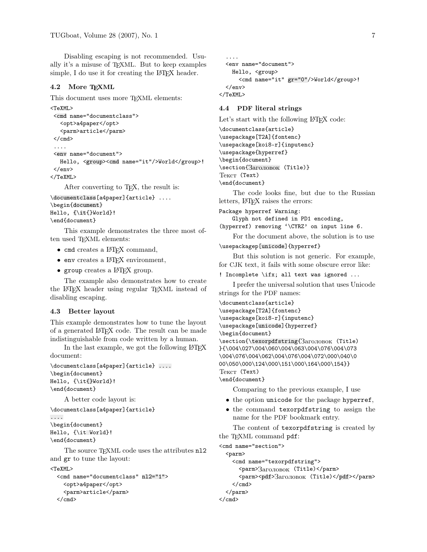Disabling escaping is not recommended. Usually it's a misuse of TEXML. But to keep examples simple, I do use it for creating the L<sup>AT</sup>EX header.

## 4.2 More TEXML

This document uses more TEXML elements:

```
<TeXML>
<cmd name="documentclass">
   <opt>a4paper</opt>
   <parm>article</parm>
</cmd>
 ....
<env name="document">
  Hello, <group><cmd name="it"/>World</group>!
</env>
</TeXML>
```
After converting to TEX, the result is:

```
\documentclass[a4paper]{article} ....
\begin{document}
Hello, {\it{}World}!
\end{document}
```
This example demonstrates the three most often used T<sub>E</sub>XML elements:

- cmd creates a LAT<sub>F</sub>X command,
- env creates a LATEX environment,
- group creates a L<sup>AT</sup>FX group.

The example also demonstrates how to create the LATEX header using regular TEXML instead of disabling escaping.

## 4.3 Better layout

This example demonstrates how to tune the layout of a generated LATEX code. The result can be made indistinguishable from code written by a human.

In the last example, we got the following LAT<sub>EX</sub> document:

```
\documentclass[a4paper]{article} ....
\begin{document}
Hello, {\it{}World}!
\end{document}
```
A better code layout is:

\documentclass[a4paper]{article} .... \begin{document} Hello, {\it World}! \end{document}

The source T<sub>EXML</sub> code uses the attributes nl2 and gr to tune the layout: <TeXML>

```
<cmd name="documentclass" nl2="1">
  <opt>a4paper</opt>
  <parm>article</parm>
</cmd>
```

```
....
  <env name="document">
    Hello, <group>
     <cmd name="it" gr="0"/>World</group>!
  </env>
</TeXML>
```
## 4.4 PDF literal strings

Let's start with the following LATEX code:

```
\documentclass{article}
\usepackage[T2A]{fontenc}
\usepackage[koi8-r]{inputenc}
\usepackage{hyperref}
\begin{document}
\section{
Заголовок
(Title)}
Текст
(Text)
\end{document}
```
The code looks fine, but due to the Russian letters, LAT<sub>F</sub>X raises the errors:

```
Package hyperref Warning:
   Glyph not defined in PD1 encoding,
(hyperref) removing '\CYRZ' on input line 6.
```
For the document above, the solution is to use \usepackagep[unicode]{hyperref}

But this solution is not generic. For example, for CJK text, it fails with some obscure error like:

! Incomplete \ifx; all text was ignored ...

I prefer the universal solution that uses Unicode strings for the PDF names:

```
\documentclass{article}
\usepackage[T2A]{fontenc}
\usepackage[koi8-r]{inputenc}
\usepackage[unicode]{hyperref}
\begin{document}
\section{\texorpdfstring{
Заголовок
(Title)
}{\004\027\004\060\004\063\004\076\004\073
\004\076\004\062\004\076\004\072\000\040\0
00\050\000\124\000\151\000\164\000\154}}
\operatorname{Text} (Text)
\end{document}
```
Comparing to the previous example, I use

- the option unicode for the package hyperref,
- the command texorpdfstring to assign the name for the PDF bookmark entry.

The content of texorpdfstring is created by the TEXML command pdf:

```
<cmd name="section">
  <parm>
    <cmd name="texorpdfstring">
      <parm>Заголовок (Title)</parm>
      <parm><pdf>Заголовок
(Title)</pdf></parm>
    \langle / cmd\rangle</parm>
</cmd>
```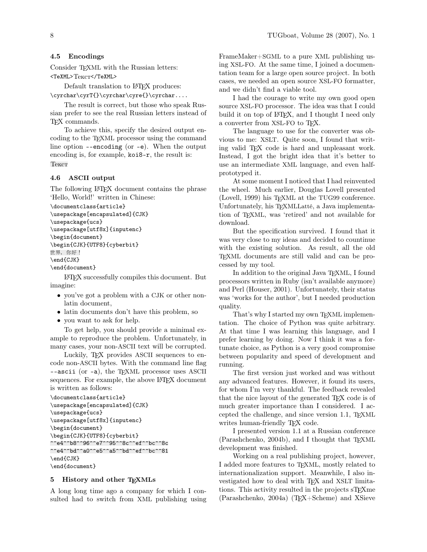# 4.5 Encodings

Consider T<sub>EXML</sub> with the Russian letters:  $<$ TeXML> $T_{\rm CKCT}$  $<$ /TeXML>

Default translation to LAT<sub>EX</sub> produces:

\cyrchar\cyrT{}\cyrchar\cyre{}\cyrchar....

The result is correct, but those who speak Russian prefer to see the real Russian letters instead of TEX commands.

To achieve this, specify the desired output encoding to the TEXML processor using the command line option --encoding (or -e). When the output encoding is, for example, koi8-r, the result is: Текст

## 4.6 ASCII output

The following LAT<sub>EX</sub> document contains the phrase 'Hello, World!' written in Chinese:

```
\documentclass{article}
\usepackage[encapsulated]{CJK}
\usepackage{ucs}
\usepackage[utf8x]{inputenc}
\begin{document}
\begin{CJK}{UTF8}{cyberbit}
世界, 你好!
\end{CJK}
\end{document}
```
LATEX successfully compiles this document. But imagine:

- you've got a problem with a CJK or other nonlatin document,
- latin documents don't have this problem, so
- you want to ask for help.

To get help, you should provide a minimal example to reproduce the problem. Unfortunately, in many cases, your non-ASCII text will be corrupted.

Luckily, T<sub>F</sub>X provides ASCII sequences to encode non-ASCII bytes. With the command line flag --ascii (or -a), the TEXML processor uses ASCII sequences. For example, the above L<sup>AT</sup>FX document is written as follows:

```
\documentclass{article}
\usepackage[encapsulated]{CJK}
\usepackage{ucs}
\usepackage[utf8x]{inputenc}
\begin{document}
\begin{CJK}{UTF8}{cyberbit}
^^e4^^b8^^96^^e7^^95^^8c^^ef^^bc^^8c
^^e4^^bd^^a0^^e5^^a5^^bd^^ef^^bc^^81
\end{CJK}
\end{document}
```
## 5 History and other TEXMLs

A long long time ago a company for which I consulted had to switch from XML publishing using FrameMaker+SGML to a pure XML publishing using XSL-FO. At the same time, I joined a documentation team for a large open source project. In both cases, we needed an open source XSL-FO formatter, and we didn't find a viable tool.

I had the courage to write my own good open source XSL-FO processor. The idea was that I could build it on top of LATEX, and I thought I need only a converter from XSL-FO to TEX.

The language to use for the converter was obvious to me: XSLT. Quite soon, I found that writing valid TEX code is hard and unpleasant work. Instead, I got the bright idea that it's better to use an intermediate XML language, and even halfprototyped it.

At some moment I noticed that I had reinvented the wheel. Much earlier, Douglas Lovell presented (Lovell, 1999) his TEXML at the TUG99 conference. Unfortunately, his TEXMLLatté, a Java implementation of TEXML, was 'retired' and not available for download.

But the specification survived. I found that it was very close to my ideas and decided to countinue with the existing solution. As result, all the old TEXML documents are still valid and can be processed by my tool.

In addition to the original Java TEXML, I found processors written in Ruby (isn't available anymore) and Perl (Houser, 2001). Unfortunately, their status was 'works for the author', but I needed production quality.

That's why I started my own T<sub>E</sub>XML implementation. The choice of Python was quite arbitrary. At that time I was learning this language, and I prefer learning by doing. Now I think it was a fortunate choice, as Python is a very good compromise between popularity and speed of development and running.

The first version just worked and was without any advanced features. However, it found its users, for whom I'm very thankful. The feedback revealed that the nice layout of the generated TEX code is of much greater importance than I considered. I accepted the challenge, and since version 1.1, TEXML writes human-friendly TFX code.

I presented version 1.1 at a Russian conference (Parashchenko, 2004b), and I thought that T<sub>E</sub>XML development was finished.

Working on a real publishing project, however, I added more features to T<sub>EXML</sub>, mostly related to internationalization support. Meanwhile, I also investigated how to deal with TEX and XSLT limitations. This activity resulted in the projects sT<sub>E</sub>Xme (Parashchenko, 2004a) (TEX+Scheme) and XSieve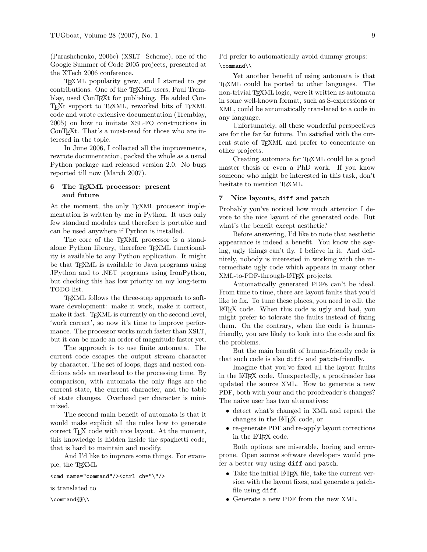(Parashchenko, 2006c) (XSLT+Scheme), one of the Google Summer of Code 2005 projects, presented at the XTech 2006 conference.

TEXML popularity grew, and I started to get contributions. One of the T<sub>E</sub>XML users, Paul Tremblay, used ConTEXt for publishing. He added Con-TEXt support to TEXML, reworked bits of TEXML code and wrote extensive documentation (Tremblay, 2005) on how to imitate XSL-FO constructions in ConT<sub>E</sub>X<sup>t</sup>. That's a must-read for those who are interesed in the topic.

In June 2006, I collected all the improvements, rewrote documentation, packed the whole as a usual Python package and released version 2.0. No bugs reported till now (March 2007).

## 6 The TEXML processor: present and future

At the moment, the only TEXML processor implementation is written by me in Python. It uses only few standard modules and therefore is portable and can be used anywhere if Python is installed.

The core of the TEXML processor is a standalone Python library, therefore T<sub>EXML</sub> functionality is available to any Python application. It might be that TEXML is available to Java programs using JPython and to .NET programs using IronPython, but checking this has low priority on my long-term TODO list.

TEXML follows the three-step approach to software development: make it work, make it correct, make it fast. TEXML is currently on the second level, 'work correct', so now it's time to improve performance. The processor works much faster than XSLT, but it can be made an order of magnitude faster yet.

The approach is to use finite automata. The current code escapes the output stream character by character. The set of loops, flags and nested conditions adds an overhead to the processing time. By comparison, with automata the only flags are the current state, the current character, and the table of state changes. Overhead per character is minimized.

The second main benefit of automata is that it would make explicit all the rules how to generate correct TEX code with nice layout. At the moment, this knowledge is hidden inside the spaghetti code, that is hard to maintain and modify.

And I'd like to improve some things. For example, the TEXML

```
<cmd name="command"/><ctrl ch="\"/>
```
is translated to

\command{}\\

I'd prefer to automatically avoid dummy groups: \command\\

Yet another benefit of using automata is that TEXML could be ported to other languages. The non-trivial TEXML logic, were it written as automata in some well-known format, such as S-expressions or XML, could be automatically translated to a code in any language.

Unfortunately, all these wonderful perspectives are for the far far future. I'm satisfied with the current state of T<sub>E</sub>XML and prefer to concentrate on other projects.

Creating automata for TEXML could be a good master thesis or even a PhD work. If you know someone who might be interested in this task, don't hesitate to mention TEXML.

## 7 Nice layouts, diff and patch

Probably you've noticed how much attention I devote to the nice layout of the generated code. But what's the benefit except aesthetic?

Before answering, I'd like to note that aesthetic appearance is indeed a benefit. You know the saying, ugly things can't fly. I believe in it. And definitely, nobody is interested in working with the intermediate ugly code which appears in many other XML-to-PDF-through-LATEX projects.

Automatically generated PDFs can't be ideal. From time to time, there are layout faults that you'd like to fix. To tune these places, you need to edit the LATEX code. When this code is ugly and bad, you might prefer to tolerate the faults instead of fixing them. On the contrary, when the code is humanfriendly, you are likely to look into the code and fix the problems.

But the main benefit of human-friendly code is that such code is also diff- and patch-friendly.

Imagine that you've fixed all the layout faults in the LATEX code. Unexpectedly, a proofreader has updated the source XML. How to generate a new PDF, both with your and the proofreader's changes? The naive user has two alternatives:

- detect what's changed in XML and repeat the changes in the LATEX code, or
- re-generate PDF and re-apply layout corrections in the LATEX code.

Both options are miserable, boring and errorprone. Open source software developers would prefer a better way using diff and patch.

- Take the initial LAT<sub>E</sub>X file, take the current version with the layout fixes, and generate a patchfile using diff.
- Generate a new PDF from the new XML.